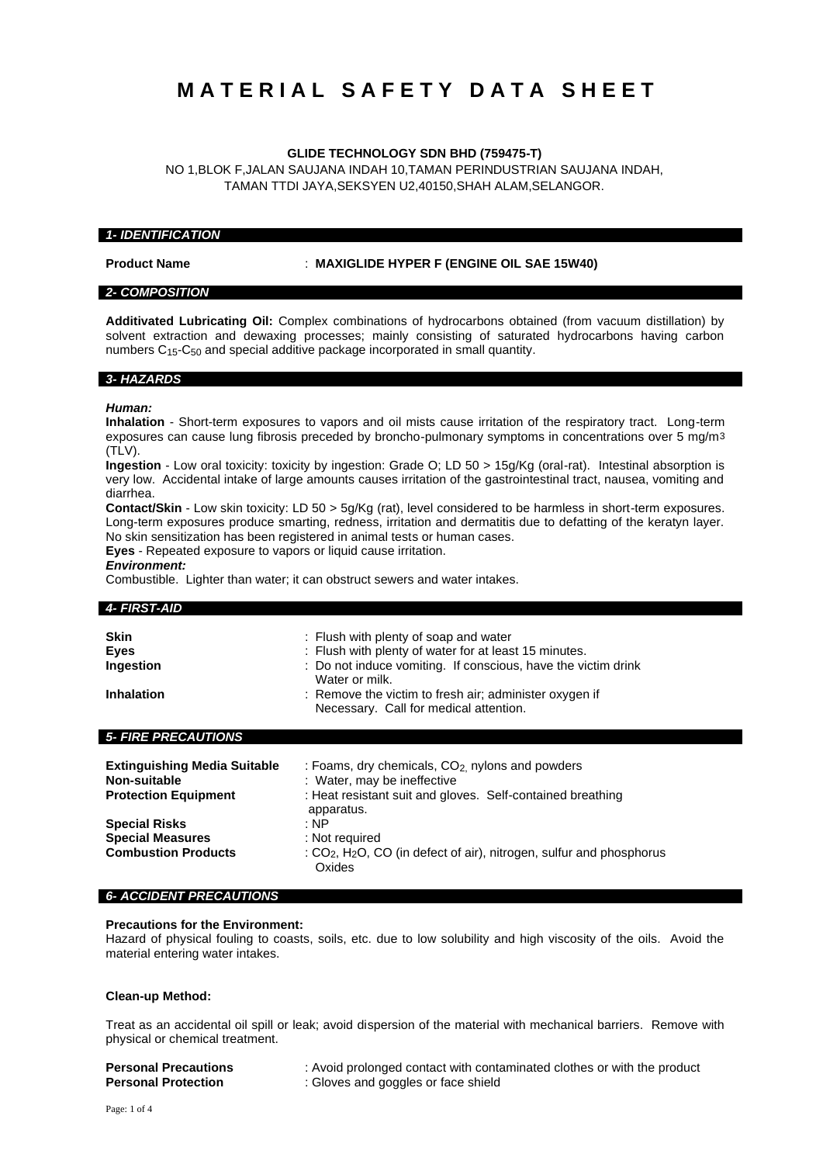# **M A T E R I A L S A F E T Y D A T A S H E E T**

# **GLIDE TECHNOLOGY SDN BHD (759475-T)**

NO 1,BLOK F,JALAN SAUJANA INDAH 10,TAMAN PERINDUSTRIAN SAUJANA INDAH, TAMAN TTDI JAYA,SEKSYEN U2,40150,SHAH ALAM,SELANGOR.

### *1- IDENTIFICATION*

**Product Name** : **MAXIGLIDE HYPER F (ENGINE OIL SAE 15W40)**

# *2- COMPOSITION*

**Additivated Lubricating Oil:** Complex combinations of hydrocarbons obtained (from vacuum distillation) by solvent extraction and dewaxing processes; mainly consisting of saturated hydrocarbons having carbon numbers C15-C50 and special additive package incorporated in small quantity.

#### *3- HAZARDS*

#### *Human:*

**Inhalation** - Short-term exposures to vapors and oil mists cause irritation of the respiratory tract. Long-term exposures can cause lung fibrosis preceded by broncho-pulmonary symptoms in concentrations over 5 mg/m3  $(TIV)$ 

**Ingestion** - Low oral toxicity: toxicity by ingestion: Grade O; LD 50 > 15g/Kg (oral-rat). Intestinal absorption is very low. Accidental intake of large amounts causes irritation of the gastrointestinal tract, nausea, vomiting and diarrhea.

**Contact/Skin** - Low skin toxicity: LD 50 > 5g/Kg (rat), level considered to be harmless in short-term exposures. Long-term exposures produce smarting, redness, irritation and dermatitis due to defatting of the keratyn layer. No skin sensitization has been registered in animal tests or human cases.

**Eyes** - Repeated exposure to vapors or liquid cause irritation.

### *Environment:*

Combustible. Lighter than water; it can obstruct sewers and water intakes.

### *4- FIRST-AID*

| <b>Skin</b><br><b>Eyes</b><br>Ingestion                                             | : Flush with plenty of soap and water<br>: Flush with plenty of water for at least 15 minutes.<br>: Do not induce vomiting. If conscious, have the victim drink<br>Water or milk. |
|-------------------------------------------------------------------------------------|-----------------------------------------------------------------------------------------------------------------------------------------------------------------------------------|
| <b>Inhalation</b>                                                                   | : Remove the victim to fresh air; administer oxygen if<br>Necessary. Call for medical attention.                                                                                  |
| <b>5- FIRE PRECAUTIONS</b>                                                          |                                                                                                                                                                                   |
| <b>Extinguishing Media Suitable</b><br>Non-suitable<br>Desired in Periodic contract | : Foams, dry chemicals, CO <sub>2</sub> nylons and powders<br>: Water, may be ineffective<br>. I fa a tha a bhaile an t-aiste an chluicheadh na Bhaile an t-aiste an t-aiste. S   |

| <b>Protection Equipment</b> | : Heat resistant suit and gloves. Self-contained breathing                         |
|-----------------------------|------------------------------------------------------------------------------------|
|                             | apparatus.                                                                         |
| <b>Special Risks</b>        | : NP                                                                               |
| <b>Special Measures</b>     | : Not required                                                                     |
| <b>Combustion Products</b>  | : $CO2$ , H <sub>2</sub> O, CO (in defect of air), nitrogen, sulfur and phosphorus |
|                             | Oxides                                                                             |

#### *6- ACCIDENT PRECAUTIONS*

# **Precautions for the Environment:**

Hazard of physical fouling to coasts, soils, etc. due to low solubility and high viscosity of the oils. Avoid the material entering water intakes.

#### **Clean-up Method:**

Treat as an accidental oil spill or leak; avoid dispersion of the material with mechanical barriers. Remove with physical or chemical treatment.

| <b>Personal Precautions</b> |
|-----------------------------|
| <b>Personal Protection</b>  |

: Avoid prolonged contact with contaminated clothes or with the product **Personal Protection** : Gloves and goggles or face shield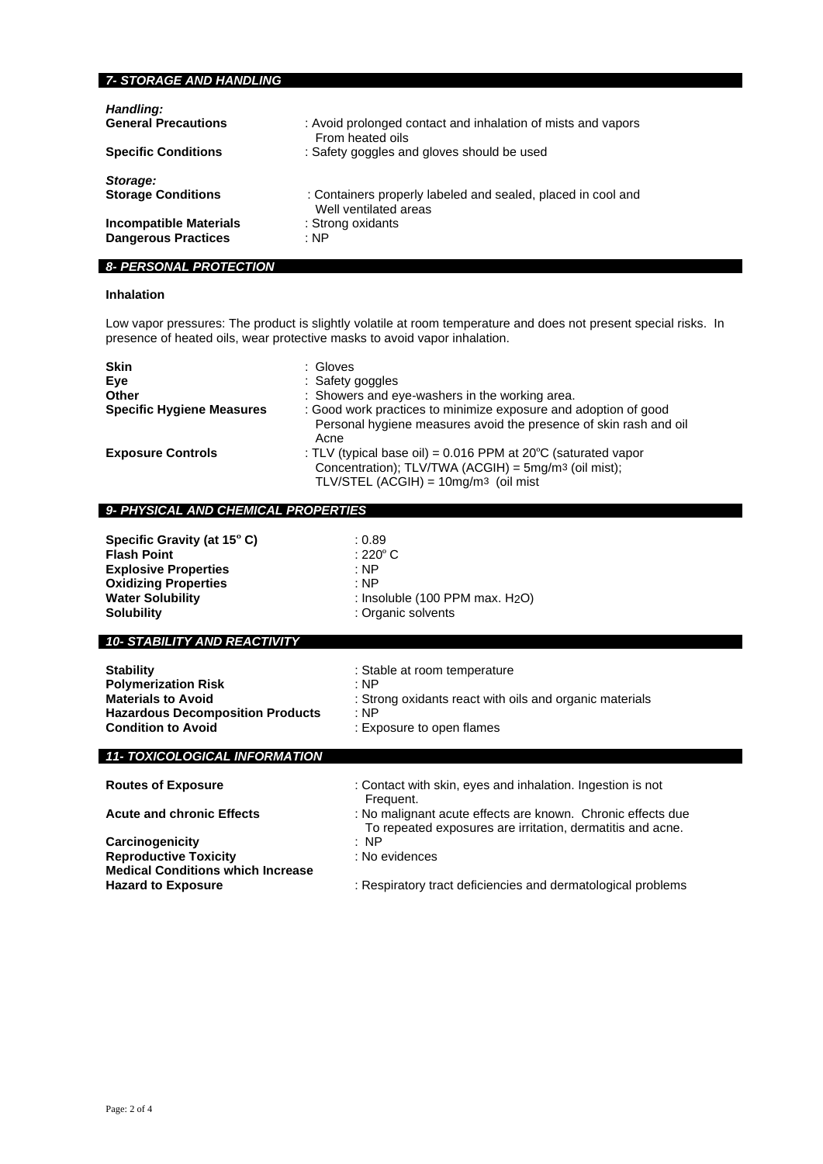# *7- STORAGE AND HANDLING*

| Handling:                     | : Avoid prolonged contact and inhalation of mists and vapors |
|-------------------------------|--------------------------------------------------------------|
| <b>General Precautions</b>    | From heated oils                                             |
| <b>Specific Conditions</b>    | : Safety goggles and gloves should be used                   |
| Storage:                      | : Containers properly labeled and sealed, placed in cool and |
| <b>Storage Conditions</b>     | Well ventilated areas                                        |
| <b>Incompatible Materials</b> | : Strong oxidants                                            |
| <b>Dangerous Practices</b>    | : NP                                                         |

# *8- PERSONAL PROTECTION*

# **Inhalation**

Low vapor pressures: The product is slightly volatile at room temperature and does not present special risks. In presence of heated oils, wear protective masks to avoid vapor inhalation.

| <b>Skin</b><br>Eve<br>Other<br><b>Specific Hygiene Measures</b> | : Gloves<br>: Safety goggles<br>: Showers and eye-washers in the working area.<br>: Good work practices to minimize exposure and adoption of good<br>Personal hygiene measures avoid the presence of skin rash and oil<br>Acne |
|-----------------------------------------------------------------|--------------------------------------------------------------------------------------------------------------------------------------------------------------------------------------------------------------------------------|
| <b>Exposure Controls</b>                                        | : TLV (typical base oil) = $0.016$ PPM at $20^{\circ}$ C (saturated vapor<br>Concentration); TLV/TWA (ACGIH) = 5mg/m3 (oil mist);<br>TLV/STEL (ACGIH) = $10mg/m3$ (oil mist                                                    |

# *9- PHYSICAL AND CHEMICAL PROPERTIES*

| Specific Gravity (at 15°C)<br><b>Flash Point</b><br><b>Explosive Properties</b><br><b>Oxidizing Properties</b><br><b>Water Solubility</b> | : 0.89<br>: 220 $^{\circ}$ C<br>: NP<br>: NP<br>: Insoluble $(100$ PPM max. $H2O$ ) |
|-------------------------------------------------------------------------------------------------------------------------------------------|-------------------------------------------------------------------------------------|
| <b>Solubility</b>                                                                                                                         | : Organic solvents                                                                  |
|                                                                                                                                           |                                                                                     |

# *10- STABILITY AND REACTIVITY*

| <b>Stability</b>                        | : Stable at room temperature                            |
|-----------------------------------------|---------------------------------------------------------|
| <b>Polymerization Risk</b>              | : NP                                                    |
| <b>Materials to Avoid</b>               | : Strong oxidants react with oils and organic materials |
| <b>Hazardous Decomposition Products</b> | ∴NP                                                     |
| <b>Condition to Avoid</b>               | : Exposure to open flames                               |
|                                         |                                                         |

# *11- TOXICOLOGICAL INFORMATION*

| $197099$ - $0971$ - $111$ - $0101$       |                                                                                                                           |
|------------------------------------------|---------------------------------------------------------------------------------------------------------------------------|
| <b>Routes of Exposure</b>                | : Contact with skin, eyes and inhalation. Ingestion is not<br>Frequent.                                                   |
| <b>Acute and chronic Effects</b>         | : No malignant acute effects are known. Chronic effects due<br>To repeated exposures are irritation, dermatitis and acne. |
| Carcinogenicity                          | : NP                                                                                                                      |
| <b>Reproductive Toxicity</b>             | : No evidences                                                                                                            |
| <b>Medical Conditions which Increase</b> |                                                                                                                           |
| <b>Hazard to Exposure</b>                | : Respiratory tract deficiencies and dermatological problems                                                              |
|                                          |                                                                                                                           |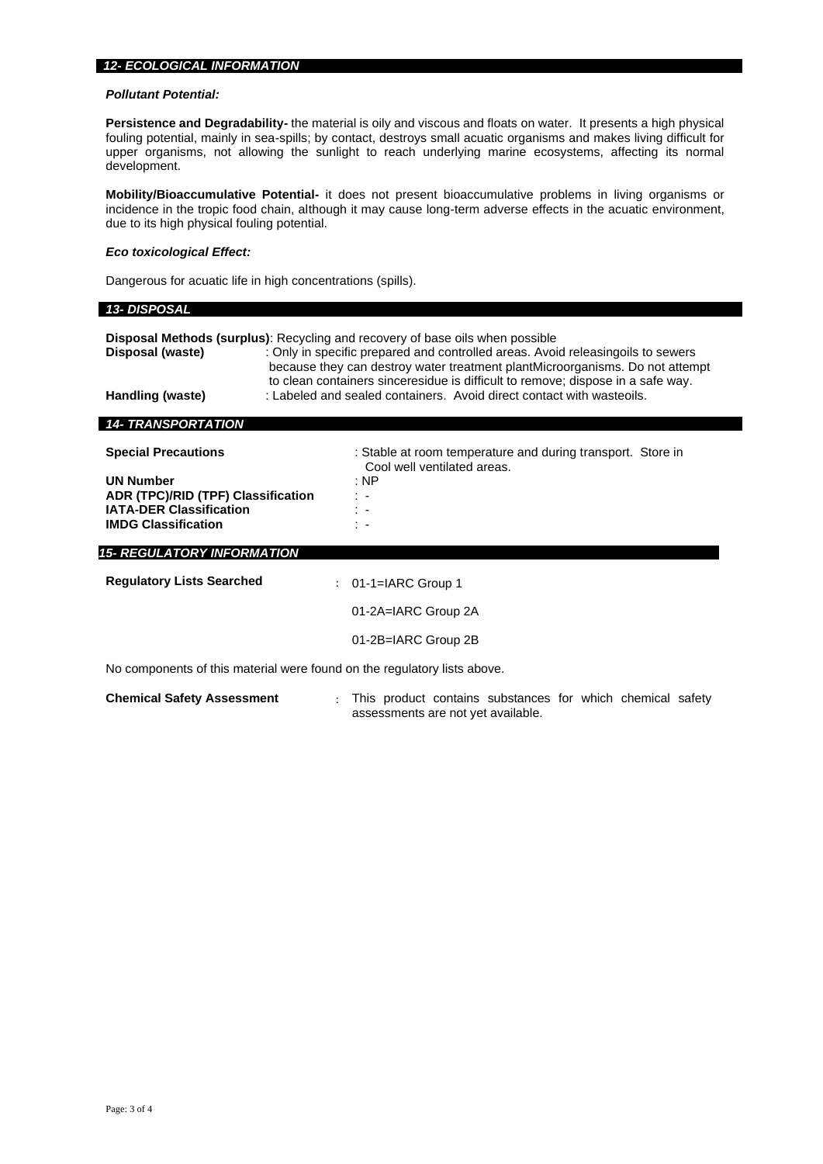### *12- ECOLOGICAL INFORMATION*

### *Pollutant Potential:*

**Persistence and Degradability-** the material is oily and viscous and floats on water. It presents a high physical fouling potential, mainly in sea-spills; by contact, destroys small acuatic organisms and makes living difficult for upper organisms, not allowing the sunlight to reach underlying marine ecosystems, affecting its normal development.

**Mobility/Bioaccumulative Potential-** it does not present bioaccumulative problems in living organisms or incidence in the tropic food chain, although it may cause long-term adverse effects in the acuatic environment, due to its high physical fouling potential.

# *Eco toxicological Effect:*

Dangerous for acuatic life in high concentrations (spills).

# *13- DISPOSAL*

|                           | <b>Disposal Methods (surplus):</b> Recycling and recovery of base oils when possible                                                                             |
|---------------------------|------------------------------------------------------------------------------------------------------------------------------------------------------------------|
| Disposal (waste)          | : Only in specific prepared and controlled areas. Avoid releasingoils to sewers                                                                                  |
|                           | because they can destroy water treatment plant Microorganisms. Do not attempt<br>to clean containers sinceresidue is difficult to remove; dispose in a safe way. |
| Handling (waste)          | : Labeled and sealed containers. Avoid direct contact with wasteoils.                                                                                            |
| <b>14- TRANSPORTATION</b> |                                                                                                                                                                  |

| <b>Special Precautions</b>         | : Stable at room temperature and during transport. Store in<br>Cool well ventilated areas. |
|------------------------------------|--------------------------------------------------------------------------------------------|
| <b>UN Number</b>                   | : NP                                                                                       |
| ADR (TPC)/RID (TPF) Classification | t e                                                                                        |
| <b>IATA-DER Classification</b>     |                                                                                            |
| <b>IMDG Classification</b>         | ÷ .                                                                                        |
|                                    |                                                                                            |
| <b>15- REGULATORY INFORMATION</b>  |                                                                                            |
| <b>Regulatory Lists Searched</b>   | : $01-1=IARC$ Group 1                                                                      |

| <b>Regulatory Lists Searched</b>                                         | : $01-1=IARC$ Group 1 |
|--------------------------------------------------------------------------|-----------------------|
|                                                                          | 01-2A=IARC Group 2A   |
|                                                                          | 01-2B=IARC Group 2B   |
| No components of this material were found on the regulatory lists above. |                       |

**Chemical Safety Assessment** : This product contains substances for which chemical safety assessments are not yet available.